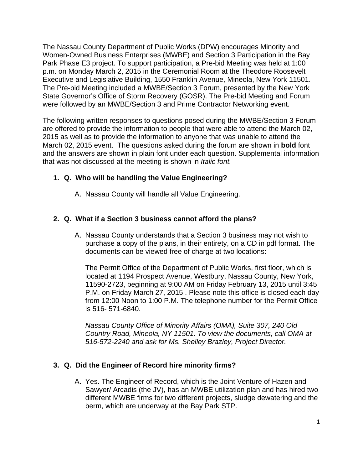The Nassau County Department of Public Works (DPW) encourages Minority and Women-Owned Business Enterprises (MWBE) and Section 3 Participation in the Bay Park Phase E3 project. To support participation, a Pre-bid Meeting was held at 1:00 p.m. on Monday March 2, 2015 in the Ceremonial Room at the Theodore Roosevelt Executive and Legislative Building, 1550 Franklin Avenue, Mineola, New York 11501. The Pre-bid Meeting included a MWBE/Section 3 Forum, presented by the New York State Governor's Office of Storm Recovery (GOSR). The Pre-bid Meeting and Forum were followed by an MWBE/Section 3 and Prime Contractor Networking event.

The following written responses to questions posed during the MWBE/Section 3 Forum are offered to provide the information to people that were able to attend the March 02, 2015 as well as to provide the information to anyone that was unable to attend the March 02, 2015 event. The questions asked during the forum are shown in **bold** font and the answers are shown in plain font under each question. Supplemental information that was not discussed at the meeting is shown in *Italic font.*

# **1. Q. Who will be handling the Value Engineering?**

A. Nassau County will handle all Value Engineering.

# **2. Q. What if a Section 3 business cannot afford the plans?**

A. Nassau County understands that a Section 3 business may not wish to purchase a copy of the plans, in their entirety, on a CD in pdf format. The documents can be viewed free of charge at two locations:

The Permit Office of the Department of Public Works, first floor, which is located at 1194 Prospect Avenue, Westbury, Nassau County, New York, 11590-2723, beginning at 9:00 AM on Friday February 13, 2015 until 3:45 P.M. on Friday March 27, 2015 . Please note this office is closed each day from 12:00 Noon to 1:00 P.M. The telephone number for the Permit Office is 516- 571-6840.

*Nassau County Office of Minority Affairs (OMA), Suite 307, 240 Old Country Road, Mineola, NY 11501. To view the documents, call OMA at 516-572-2240 and ask for Ms. Shelley Brazley, Project Director.* 

# **3. Q. Did the Engineer of Record hire minority firms?**

A. Yes. The Engineer of Record, which is the Joint Venture of Hazen and Sawyer/ Arcadis (the JV), has an MWBE utilization plan and has hired two different MWBE firms for two different projects, sludge dewatering and the berm, which are underway at the Bay Park STP.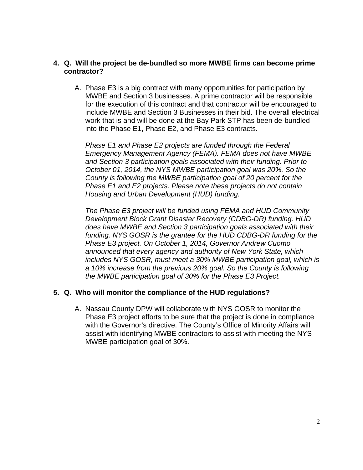## **4. Q. Will the project be de-bundled so more MWBE firms can become prime contractor?**

A. Phase E3 is a big contract with many opportunities for participation by MWBE and Section 3 businesses. A prime contractor will be responsible for the execution of this contract and that contractor will be encouraged to include MWBE and Section 3 Businesses in their bid. The overall electrical work that is and will be done at the Bay Park STP has been de-bundled into the Phase E1, Phase E2, and Phase E3 contracts.

*Phase E1 and Phase E2 projects are funded through the Federal Emergency Management Agency (FEMA). FEMA does not have MWBE and Section 3 participation goals associated with their funding. Prior to October 01, 2014, the NYS MWBE participation goal was 20%. So the County is following the MWBE participation goal of 20 percent for the Phase E1 and E2 projects. Please note these projects do not contain Housing and Urban Development (HUD) funding.* 

*The Phase E3 project will be funded using FEMA and HUD Community Development Block Grant Disaster Recovery (CDBG-DR) funding. HUD does have MWBE and Section 3 participation goals associated with their funding. NYS GOSR is the grantee for the HUD CDBG-DR funding for the Phase E3 project. On October 1, 2014, Governor Andrew Cuomo announced that every agency and authority of New York State, which includes NYS GOSR, must meet a 30% MWBE participation goal, which is a 10% increase from the previous 20% goal. So the County is following the MWBE participation goal of 30% for the Phase E3 Project.* 

## **5. Q. Who will monitor the compliance of the HUD regulations?**

A. Nassau County DPW will collaborate with NYS GOSR to monitor the Phase E3 project efforts to be sure that the project is done in compliance with the Governor's directive. The County's Office of Minority Affairs will assist with identifying MWBE contractors to assist with meeting the NYS MWBE participation goal of 30%.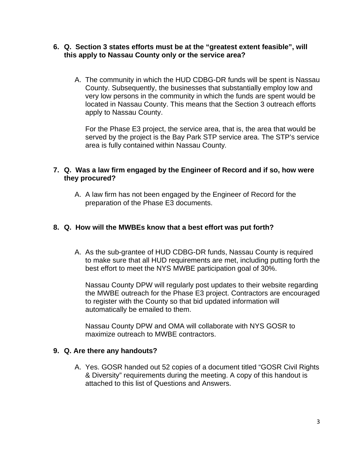- **6. Q. Section 3 states efforts must be at the "greatest extent feasible", will this apply to Nassau County only or the service area?** 
	- A. The community in which the HUD CDBG-DR funds will be spent is Nassau County. Subsequently, the businesses that substantially employ low and very low persons in the community in which the funds are spent would be located in Nassau County. This means that the Section 3 outreach efforts apply to Nassau County.

For the Phase E3 project, the service area, that is, the area that would be served by the project is the Bay Park STP service area. The STP's service area is fully contained within Nassau County*.* 

## **7. Q. Was a law firm engaged by the Engineer of Record and if so, how were they procured?**

A. A law firm has not been engaged by the Engineer of Record for the preparation of the Phase E3 documents.

## **8. Q. How will the MWBEs know that a best effort was put forth?**

A. As the sub-grantee of HUD CDBG-DR funds, Nassau County is required to make sure that all HUD requirements are met, including putting forth the best effort to meet the NYS MWBE participation goal of 30%.

Nassau County DPW will regularly post updates to their website regarding the MWBE outreach for the Phase E3 project. Contractors are encouraged to register with the County so that bid updated information will automatically be emailed to them.

Nassau County DPW and OMA will collaborate with NYS GOSR to maximize outreach to MWBE contractors.

## **9. Q. Are there any handouts?**

A. Yes. GOSR handed out 52 copies of a document titled "GOSR Civil Rights & Diversity" requirements during the meeting. A copy of this handout is attached to this list of Questions and Answers.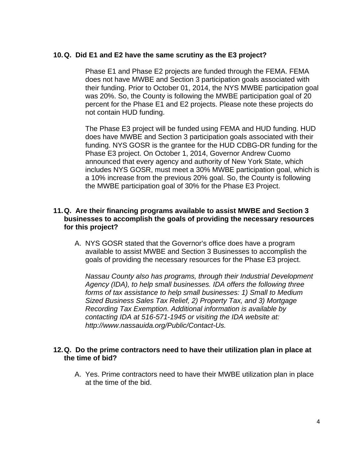## **10. Q. Did E1 and E2 have the same scrutiny as the E3 project?**

Phase E1 and Phase E2 projects are funded through the FEMA. FEMA does not have MWBE and Section 3 participation goals associated with their funding. Prior to October 01, 2014, the NYS MWBE participation goal was 20%. So, the County is following the MWBE participation goal of 20 percent for the Phase E1 and E2 projects. Please note these projects do not contain HUD funding.

The Phase E3 project will be funded using FEMA and HUD funding. HUD does have MWBE and Section 3 participation goals associated with their funding. NYS GOSR is the grantee for the HUD CDBG-DR funding for the Phase E3 project. On October 1, 2014, Governor Andrew Cuomo announced that every agency and authority of New York State, which includes NYS GOSR, must meet a 30% MWBE participation goal, which is a 10% increase from the previous 20% goal. So, the County is following the MWBE participation goal of 30% for the Phase E3 Project.

## **11. Q. Are their financing programs available to assist MWBE and Section 3 businesses to accomplish the goals of providing the necessary resources for this project?**

A. NYS GOSR stated that the Governor's office does have a program available to assist MWBE and Section 3 Businesses to accomplish the goals of providing the necessary resources for the Phase E3 project.

*Nassau County also has programs, through their Industrial Development Agency (IDA), to help small businesses. IDA offers the following three forms of tax assistance to help small businesses: 1) Small to Medium Sized Business Sales Tax Relief, 2) Property Tax, and 3) Mortgage Recording Tax Exemption. Additional information is available by contacting IDA at 516-571-1945 or visiting the IDA website at: http://www.nassauida.org/Public/Contact-Us.*

## **12. Q. Do the prime contractors need to have their utilization plan in place at the time of bid?**

A. Yes. Prime contractors need to have their MWBE utilization plan in place at the time of the bid.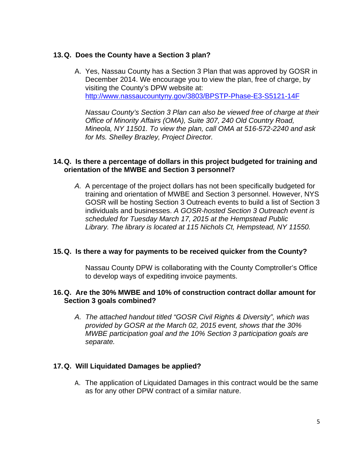# **13. Q. Does the County have a Section 3 plan?**

A. Yes, Nassau County has a Section 3 Plan that was approved by GOSR in December 2014. We encourage you to view the plan, free of charge, by visiting the County's DPW website at: http://www.nassaucountyny.gov/3803/BPSTP-Phase-E3-S5121-14F

*Nassau County's Section 3 Plan can also be viewed free of charge at their Office of Minority Affairs (OMA), Suite 307, 240 Old Country Road, Mineola, NY 11501. To view the plan, call OMA at 516-572-2240 and ask for Ms. Shelley Brazley, Project Director.* 

## **14. Q. Is there a percentage of dollars in this project budgeted for training and orientation of the MWBE and Section 3 personnel?**

*A.* A percentage of the project dollars has not been specifically budgeted for training and orientation of MWBE and Section 3 personnel. However, NYS GOSR will be hosting Section 3 Outreach events to build a list of Section 3 individuals and businesses. *A GOSR-hosted Section 3 Outreach event is scheduled for Tuesday March 17, 2015 at the Hempstead Public Library. The library is located at 115 Nichols Ct, Hempstead, NY 11550.* 

## **15. Q. Is there a way for payments to be received quicker from the County?**

Nassau County DPW is collaborating with the County Comptroller's Office to develop ways of expediting invoice payments.

## **16. Q. Are the 30% MWBE and 10% of construction contract dollar amount for Section 3 goals combined?**

*A. The attached handout titled "GOSR Civil Rights & Diversity", which was provided by GOSR at the March 02, 2015 event, shows that the 30% MWBE participation goal and the 10% Section 3 participation goals are separate.* 

## **17. Q. Will Liquidated Damages be applied?**

A. The application of Liquidated Damages in this contract would be the same as for any other DPW contract of a similar nature.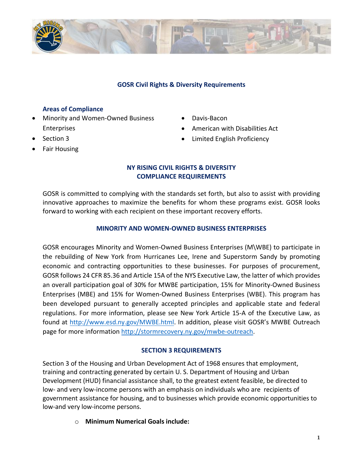

#### **GOSR Civil Rights & Diversity Requirements**

#### **Areas of Compliance**

- Minority and Women-Owned Business Enterprises
- Davis-Bacon
- American with Disabilities Act
- Limited English Proficiency
- Section 3
- Fair Housing

#### **NY RISING CIVIL RIGHTS & DIVERSITY COMPLIANCE REQUIREMENTS**

GOSR is committed to complying with the standards set forth, but also to assist with providing innovative approaches to maximize the benefits for whom these programs exist. GOSR looks forward to working with each recipient on these important recovery efforts.

#### **MINORITY AND WOMEN-OWNED BUSINESS ENTERPRISES**

GOSR encourages Minority and Women-Owned Business Enterprises (M\WBE) to participate in the rebuilding of New York from Hurricanes Lee, Irene and Superstorm Sandy by promoting economic and contracting opportunities to these businesses. For purposes of procurement, GOSR follows 24 CFR 85.36 and Article 15A of the NYS Executive Law, the latter of which provides an overall participation goal of 30% for MWBE participation, 15% for Minority-Owned Business Enterprises (MBE) and 15% for Women-Owned Business Enterprises (WBE). This program has been developed pursuant to generally accepted principles and applicable state and federal regulations. For more information, please see New York Article 15-A of the Executive Law, as found at [http://www.esd.ny.gov/MWBE.html.](http://www.esd.ny.gov/MWBE.html) In addition, please visit GOSR's MWBE Outreach page for more information [http://stormrecovery.ny.gov/mwbe-outreach.](http://stormrecovery.ny.gov/mwbe-outreach)

## **SECTION 3 REQUIREMENTS**

Section 3 of the Housing and Urban Development Act of 1968 ensures that employment, training and contracting generated by certain U. S. Department of Housing and Urban Development (HUD) financial assistance shall, to the greatest extent feasible, be directed to low- and very low-income persons with an emphasis on individuals who are recipients of government assistance for housing, and to businesses which provide economic opportunities to low-and very low-income persons.

o **Minimum Numerical Goals include:**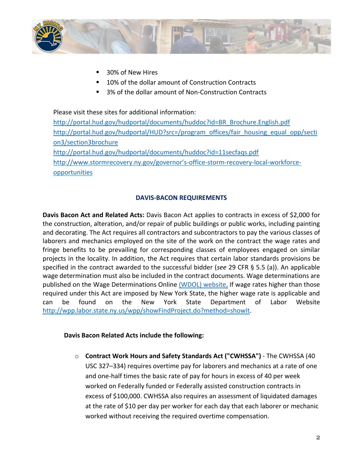

- 30% of New Hires
- 10% of the dollar amount of Construction Contracts
- 3% of the dollar amount of Non-Construction Contracts

Please visit these sites for additional information:

[http://portal.hud.gov/hudportal/documents/huddoc?id=BR\\_Brochure.English.pdf](http://portal.hud.gov/hudportal/documents/huddoc?id=BR_Brochure.English.pdf) [http://portal.hud.gov/hudportal/HUD?src=/program\\_offices/fair\\_housing\\_equal\\_opp/secti](http://portal.hud.gov/hudportal/HUD?src=/program_offices/fair_housing_equal_opp/section3/section3brochure) [on3/section3brochure](http://portal.hud.gov/hudportal/HUD?src=/program_offices/fair_housing_equal_opp/section3/section3brochure) <http://portal.hud.gov/hudportal/documents/huddoc?id=11secfaqs.pdf> [http://www.stormrecovery.ny.gov/governor's](http://www.stormrecovery.ny.gov/governor)-office-storm-recovery-local-workforce[opportunities](http://www.stormrecovery.ny.gov/governor)

#### **DAVIS-BACON REQUIREMENTS**

**Davis Bacon Act and Related Acts:** Davis Bacon Act applies to contracts in excess of \$2,000 for the construction, alteration, and/or repair of public buildings or public works, including painting and decorating. The Act requires all contractors and subcontractors to pay the various classes of laborers and mechanics employed on the site of the work on the contract the wage rates and fringe benefits to be prevailing for corresponding classes of employees engaged on similar projects in the locality. In addition, the Act requires that certain labor standards provisions be specified in the contract awarded to the successful bidder (*see* 29 CFR § 5.5 (a)). An applicable wage determination must also be included in the contract documents. Wage determinations are published on the Wage Determinations Online [\(WDOL\) website.](http://www.wdol.gov/) If wage rates higher than those required under this Act are imposed by New York State, the higher wage rate is applicable and can be found on the New York State Department of Labor Website [http://wpp.labor.state.ny.us/wpp/showFindProject.do?method=showIt.](http://wpp.labor.state.ny.us/wpp/showFindProject.do?method=showIt)

#### **Davis Bacon Related Acts include the following:**

o **Contract Work Hours and Safety Standards Act ("CWHSSA")** - The CWHSSA (40 USC 327–334) requires overtime pay for laborers and mechanics at a rate of one and one-half times the basic rate of pay for hours in excess of 40 per week worked on Federally funded or Federally assisted construction contracts in excess of \$100,000. CWHSSA also requires an assessment of liquidated damages at the rate of \$10 per day per worker for each day that each laborer or mechanic worked without receiving the required overtime compensation.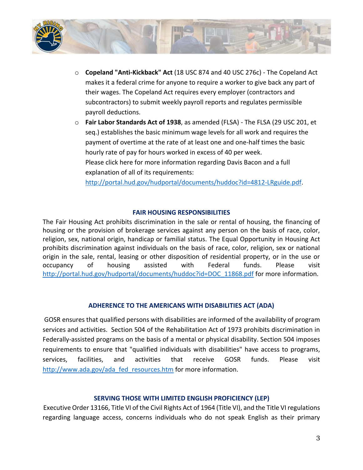

- o **Copeland "Anti-Kickback" Act** (18 USC 874 and 40 USC 276c) The Copeland Act makes it a federal crime for anyone to require a worker to give back any part of their wages. The Copeland Act requires every employer (contractors and subcontractors) to submit weekly payroll reports and regulates permissible payroll deductions.
- o **Fair Labor Standards Act of 1938**, as amended (FLSA) The FLSA (29 USC 201, et seq.) establishes the basic minimum wage levels for all work and requires the payment of overtime at the rate of at least one and one-half times the basic hourly rate of pay for hours worked in excess of 40 per week. Please click here for more information regarding Davis Bacon and a full explanation of all of its requirements:

[http://portal.hud.gov/hudportal/documents/huddoc?id=4812-LRguide.pdf.](http://portal.hud.gov/hudportal/documents/huddoc?id=4812-LRguide.pdf)

#### **FAIR HOUSING RESPONSIBILITIES**

The Fair Housing Act prohibits discrimination in the sale or rental of housing, the financing of housing or the provision of brokerage services against any person on the basis of race, color, religion, sex, national origin, handicap or familial status. The Equal Opportunity in Housing Act prohibits discrimination against individuals on the basis of race, color, religion, sex or national origin in the sale, rental, leasing or other disposition of residential property, or in the use or occupancy of housing assisted with Federal funds. Please visit [http://portal.hud.gov/hudportal/documents/huddoc?id=DOC\\_11868.pdf](http://portal.hud.gov/hudportal/documents/huddoc?id=DOC_11868.pdf) for more information.

#### **ADHERENCE TO THE AMERICANS WITH DISABILITIES ACT (ADA)**

GOSR ensures that qualified persons with disabilities are informed of the availability of program services and activities. Section 504 of the Rehabilitation Act of 1973 prohibits discrimination in Federally-assisted programs on the basis of a mental or physical disability. Section 504 imposes requirements to ensure that "qualified individuals with disabilities" have access to programs, services, facilities, and activities that receive GOSR funds. Please visit [http://www.ada.gov/ada\\_fed\\_resources.htm](http://www.ada.gov/ada_fed_resources.htm) for more information.

#### **SERVING THOSE WITH LIMITED ENGLISH PROFICIENCY (LEP)**

Executive Order 13166, Title VI of the Civil Rights Act of 1964 (Title VI), and the Title VI regulations regarding language access, concerns individuals who do not speak English as their primary